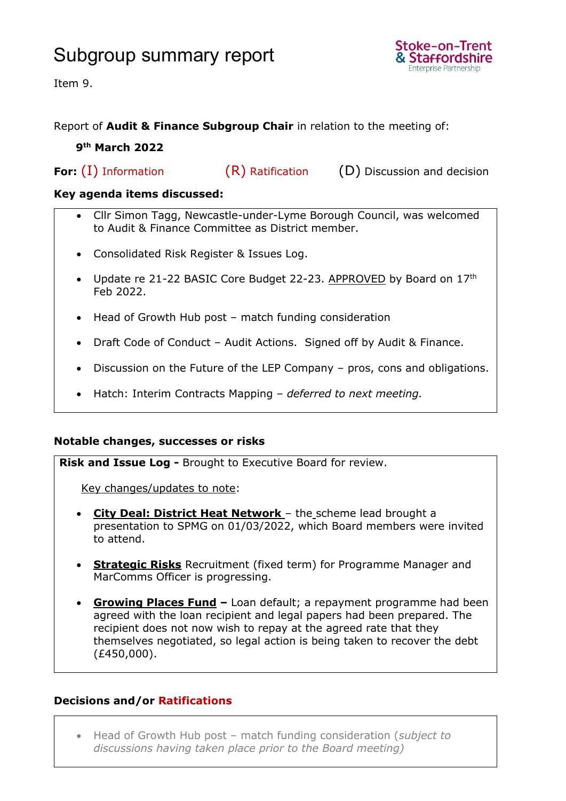## Subgroup summary report



Item 9.

### Report of **Audit & Finance Subgroup Chair** in relation to the meeting of:

#### **9 th March 2022**

**For:** (I) Information (R) Ratification (D) Discussion and decision

#### **Key agenda items discussed:**

- Cllr Simon Tagg, Newcastle-under-Lyme Borough Council, was welcomed to Audit & Finance Committee as District member.
- Consolidated Risk Register & Issues Log.
- Update re 21-22 BASIC Core Budget 22-23. APPROVED by Board on 17th Feb 2022.
- Head of Growth Hub post match funding consideration
- Draft Code of Conduct Audit Actions. Signed off by Audit & Finance.
- Discussion on the Future of the LEP Company pros, cons and obligations.
- Hatch: Interim Contracts Mapping *deferred to next meeting.*

#### **Notable changes, successes or risks**

**Risk and Issue Log -** Brought to Executive Board for review.

Key changes/updates to note:

- **City Deal: District Heat Network** the scheme lead brought a presentation to SPMG on 01/03/2022, which Board members were invited to attend.
- **Strategic Risks** Recruitment (fixed term) for Programme Manager and MarComms Officer is progressing.
- **Growing Places Fund –** Loan default; a repayment programme had been agreed with the loan recipient and legal papers had been prepared. The recipient does not now wish to repay at the agreed rate that they themselves negotiated, so legal action is being taken to recover the debt (£450,000).

### **Decisions and/or Ratifications**

• Head of Growth Hub post – match funding consideration (*subject to discussions having taken place prior to the Board meeting)*